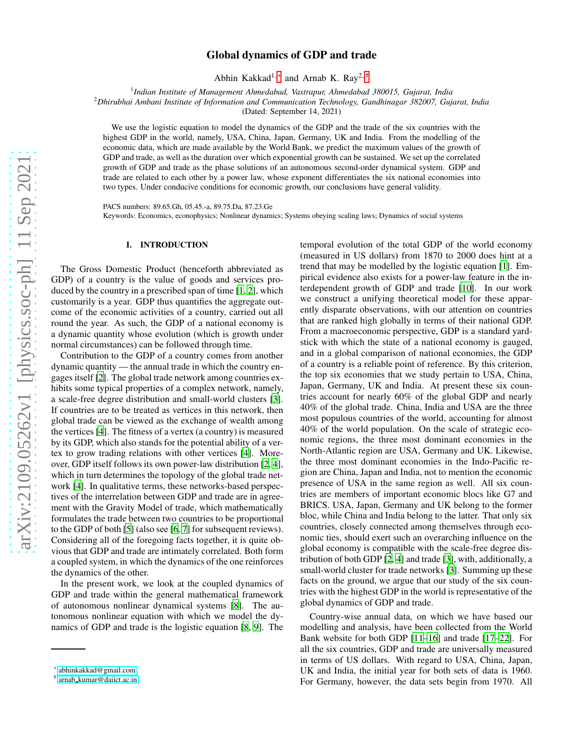# Global dynamics of GDP and trade

Abhin Kakkad<sup>1,</sup>\* and Arnab K. Ray<sup>2, [†](#page-0-1)</sup>

1 *Indian Institute of Management Ahmedabad, Vastrapur, Ahmedabad 380015, Gujarat, India*

<sup>2</sup>*Dhirubhai Ambani Institute of Information and Communication Technology, Gandhinagar 382007, Gujarat, India*

(Dated: September 14, 2021)

We use the logistic equation to model the dynamics of the GDP and the trade of the six countries with the highest GDP in the world, namely, USA, China, Japan, Germany, UK and India. From the modelling of the economic data, which are made available by the World Bank, we predict the maximum values of the growth of GDP and trade, as well as the duration over which exponential growth can be sustained. We set up the correlated growth of GDP and trade as the phase solutions of an autonomous second-order dynamical system. GDP and trade are related to each other by a power law, whose exponent differentiates the six national economies into two types. Under conducive conditions for economic growth, our conclusions have general validity.

PACS numbers: 89.65.Gh, 05.45.-a, 89.75.Da, 87.23.Ge Keywords: Economics, econophysics; Nonlinear dynamics; Systems obeying scaling laws; Dynamics of social systems

## I. INTRODUCTION

The Gross Domestic Product (henceforth abbreviated as GDP) of a country is the value of goods and services produced by the country in a prescribed span of time [\[1](#page-6-0), [2\]](#page-6-1), which customarily is a year. GDP thus quantifies the aggregate outcome of the economic activities of a country, carried out all round the year. As such, the GDP of a national economy is a dynamic quantity whose evolution (which is growth under normal circumstances) can be followed through time.

Contribution to the GDP of a country comes from another dynamic quantity — the annual trade in which the country engages itself [\[2\]](#page-6-1). The global trade network among countries exhibits some typical properties of a complex network, namely, a scale-free degree distribution and small-world clusters [\[3](#page-6-2)]. If countries are to be treated as vertices in this network, then global trade can be viewed as the exchange of wealth among the vertices [\[4](#page-6-3)]. The fitness of a vertex (a country) is measured by its GDP, which also stands for the potential ability of a vertex to grow trading relations with other vertices [\[4](#page-6-3)]. Moreover, GDP itself follows its own power-law distribution [\[2,](#page-6-1) [4](#page-6-3)], which in turn determines the topology of the global trade network [\[4](#page-6-3)]. In qualitative terms, these networks-based perspectives of the interrelation between GDP and trade are in agreement with the Gravity Model of trade, which mathematically formulates the trade between two countries to be proportional to the GDP of both [\[5](#page-6-4)] (also see [\[6](#page-6-5), [7\]](#page-6-6) for subsequent reviews). Considering all of the foregoing facts together, it is quite obvious that GDP and trade are intimately correlated. Both form a coupled system, in which the dynamics of the one reinforces the dynamics of the other.

In the present work, we look at the coupled dynamics of GDP and trade within the general mathematical framework of autonomous nonlinear dynamical systems [\[8\]](#page-6-7). The autonomous nonlinear equation with which we model the dynamics of GDP and trade is the logistic equation [\[8,](#page-6-7) [9](#page-6-8)]. The

temporal evolution of the total GDP of the world economy (measured in US dollars) from 1870 to 2000 does hint at a trend that may be modelled by the logistic equation [\[1](#page-6-0)]. Empirical evidence also exists for a power-law feature in the interdependent growth of GDP and trade [\[10\]](#page-6-9). In our work we construct a unifying theoretical model for these apparently disparate observations, with our attention on countries that are ranked high globally in terms of their national GDP. From a macroeconomic perspective, GDP is a standard yardstick with which the state of a national economy is gauged, and in a global comparison of national economies, the GDP of a country is a reliable point of reference. By this criterion, the top six economies that we study pertain to USA, China, Japan, Germany, UK and India. At present these six countries account for nearly 60% of the global GDP and nearly 40% of the global trade. China, India and USA are the three most populous countries of the world, accounting for almost 40% of the world population. On the scale of strategic economic regions, the three most dominant economies in the North-Atlantic region are USA, Germany and UK. Likewise, the three most dominant economies in the Indo-Pacific region are China, Japan and India, not to mention the economic presence of USA in the same region as well. All six countries are members of important economic blocs like G7 and BRICS. USA, Japan, Germany and UK belong to the former bloc, while China and India belong to the latter. That only six countries, closely connected among themselves through economic ties, should exert such an overarching influence on the global economy is compatible with the scale-free degree distribution of both GDP [\[2,](#page-6-1) [4](#page-6-3)] and trade [\[3\]](#page-6-2), with, additionally, a small-world cluster for trade networks [\[3\]](#page-6-2). Summing up these facts on the ground, we argue that our study of the six countries with the highest GDP in the world is representative of the global dynamics of GDP and trade.

Country-wise annual data, on which we have based our modelling and analysis, have been collected from the World Bank website for both GDP [\[11](#page-6-10)[–16\]](#page-6-11) and trade [\[17–](#page-6-12)[22\]](#page-6-13). For all the six countries, GDP and trade are universally measured in terms of US dollars. With regard to USA, China, Japan, UK and India, the initial year for both sets of data is 1960. For Germany, however, the data sets begin from 1970. All

<span id="page-0-0"></span><sup>∗</sup> [abhinkakkad@gmail.com](mailto:abhinkakkad@gmail.com)

<span id="page-0-1"></span><sup>†</sup> arnab [kumar@daiict.ac.in](mailto:arnab_kumar@daiict.ac.in)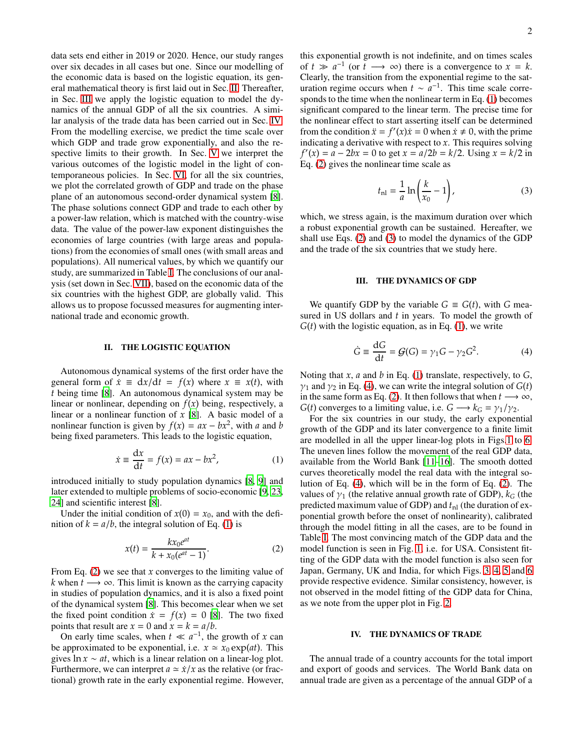data sets end either in 2019 or 2020. Hence, our study ranges over six decades in all cases but one. Since our modelling of the economic data is based on the logistic equation, its general mathematical theory is first laid out in Sec. [II.](#page-1-0) Thereafter, in Sec. [III](#page-1-1) we apply the logistic equation to model the dynamics of the annual GDP of all the six countries. A similar analysis of the trade data has been carried out in Sec. [IV.](#page-1-2) From the modelling exercise, we predict the time scale over which GDP and trade grow exponentially, and also the respective limits to their growth. In Sec. [V](#page-3-0) we interpret the various outcomes of the logistic model in the light of contemporaneous policies. In Sec. [VI,](#page-4-0) for all the six countries, we plot the correlated growth of GDP and trade on the phase plane of an autonomous second-order dynamical system [\[8](#page-6-7)]. The phase solutions connect GDP and trade to each other by a power-law relation, which is matched with the country-wise data. The value of the power-law exponent distinguishes the economies of large countries (with large areas and populations) from the economies of small ones (with small areas and populations). All numerical values, by which we quantify our study, are summarized in Table [I.](#page-2-0) The conclusions of our analysis (set down in Sec. [VII\)](#page-5-0), based on the economic data of the six countries with the highest GDP, are globally valid. This allows us to propose focussed measures for augmenting international trade and economic growth.

# <span id="page-1-0"></span>II. THE LOGISTIC EQUATION

Autonomous dynamical systems of the first order have the general form of  $\dot{x} \equiv dx/dt = f(x)$  where  $x \equiv x(t)$ , with *t* being time [\[8](#page-6-7)]. An autonomous dynamical system may be linear or nonlinear, depending on  $f(x)$  being, respectively, a linear or a nonlinear function of *x* [\[8](#page-6-7)]. A basic model of a nonlinear function is given by  $f(x) = ax - bx^2$ , with *a* and *b* being fixed parameters. This leads to the logistic equation,

<span id="page-1-3"></span>
$$
\dot{x} \equiv \frac{\mathrm{d}x}{\mathrm{d}t} = f(x) = ax - bx^2,\tag{1}
$$

introduced initially to study population dynamics [\[8,](#page-6-7) [9\]](#page-6-8) and later extended to multiple problems of socio-economic [\[9,](#page-6-8) [23,](#page-6-14) [24\]](#page-6-15) and scientific interest [\[8](#page-6-7)].

Under the initial condition of  $x(0) = x_0$ , and with the definition of  $k = a/b$ , the integral solution of Eq. [\(1\)](#page-1-3) is

<span id="page-1-4"></span>
$$
x(t) = \frac{kx_0e^{at}}{k + x_0(e^{at} - 1)}.
$$
 (2)

From Eq. [\(2\)](#page-1-4) we see that *x* converges to the limiting value of *k* when  $t \rightarrow \infty$ . This limit is known as the carrying capacity in studies of population dynamics, and it is also a fixed point of the dynamical system [\[8\]](#page-6-7). This becomes clear when we set the fixed point condition  $\dot{x} = f(x) = 0$  [\[8\]](#page-6-7). The two fixed points that result are  $x = 0$  and  $x = k = a/b$ .

On early time scales, when  $t \ll a^{-1}$ , the growth of *x* can be approximated to be exponential, i.e.  $x \approx x_0 \exp(at)$ . This gives ln *x* ∼ *at*, which is a linear relation on a linear-log plot. Furthermore, we can interpret  $a \approx \dot{x}/x$  as the relative (or fractional) growth rate in the early exponential regime. However, this exponential growth is not indefinite, and on times scales of  $t \gg a^{-1}$  (or  $t \longrightarrow \infty$ ) there is a convergence to  $x = k$ . Clearly, the transition from the exponential regime to the saturation regime occurs when  $t \sim a^{-1}$ . This time scale corresponds to the time when the nonlinear term in Eq. [\(1\)](#page-1-3) becomes significant compared to the linear term. The precise time for the nonlinear effect to start asserting itself can be determined from the condition  $\ddot{x} = f'(x)\dot{x} = 0$  when  $\dot{x} \neq 0$ , with the prime indicating a derivative with respect to *x*. This requires solving  $f'(x) = a - 2bx = 0$  to get  $x = a/2b = k/2$ . Using  $x = k/2$  in Eq. [\(2\)](#page-1-4) gives the nonlinear time scale as

<span id="page-1-5"></span>
$$
t_{\rm nl} = \frac{1}{a} \ln \left( \frac{k}{x_0} - 1 \right),\tag{3}
$$

which, we stress again, is the maximum duration over which a robust exponential growth can be sustained. Hereafter, we shall use Eqs. [\(2\)](#page-1-4) and [\(3\)](#page-1-5) to model the dynamics of the GDP and the trade of the six countries that we study here.

## <span id="page-1-1"></span>III. THE DYNAMICS OF GDP

We quantify GDP by the variable  $G \equiv G(t)$ , with G measured in US dollars and *t* in years. To model the growth of  $G(t)$  with the logistic equation, as in Eq. [\(1\)](#page-1-3), we write

<span id="page-1-6"></span>
$$
\dot{G} \equiv \frac{\mathrm{d}G}{\mathrm{d}t} = \mathcal{G}(G) = \gamma_1 G - \gamma_2 G^2. \tag{4}
$$

Noting that *x*, *a* and *b* in Eq. [\(1\)](#page-1-3) translate, respectively, to *G*,  $\gamma_1$  and  $\gamma_2$  in Eq. [\(4\)](#page-1-6), we can write the integral solution of *G*(*t*) in the same form as Eq. [\(2\)](#page-1-4). It then follows that when  $t \rightarrow \infty$ , *G*(*t*) converges to a limiting value, i.e.  $G \rightarrow k_G = \gamma_1/\gamma_2$ .

For the six countries in our study, the early exponential growth of the GDP and its later convergence to a finite limit are modelled in all the upper linear-log plots in Figs[.1](#page-2-1) to [6.](#page-3-1) The uneven lines follow the movement of the real GDP data, available from the World Bank [\[11–](#page-6-10)[16\]](#page-6-11). The smooth dotted curves theoretically model the real data with the integral solution of Eq. [\(4\)](#page-1-6), which will be in the form of Eq. [\(2\)](#page-1-4). The values of  $\gamma_1$  (the relative annual growth rate of GDP),  $k_G$  (the predicted maximum value of GDP) and  $t_{nl}$  (the duration of exponential growth before the onset of nonlinearity), calibrated through the model fitting in all the cases, are to be found in Table [I.](#page-2-0) The most convincing match of the GDP data and the model function is seen in Fig. [1,](#page-2-1) i.e. for USA. Consistent fitting of the GDP data with the model function is also seen for Japan, Germany, UK and India, for which Figs. [3,](#page-2-2) [4,](#page-3-2) [5](#page-3-3) and [6](#page-3-1) provide respective evidence. Similar consistency, however, is not observed in the model fitting of the GDP data for China, as we note from the upper plot in Fig. [2.](#page-2-3)

#### <span id="page-1-2"></span>IV. THE DYNAMICS OF TRADE

The annual trade of a country accounts for the total import and export of goods and services. The World Bank data on annual trade are given as a percentage of the annual GDP of a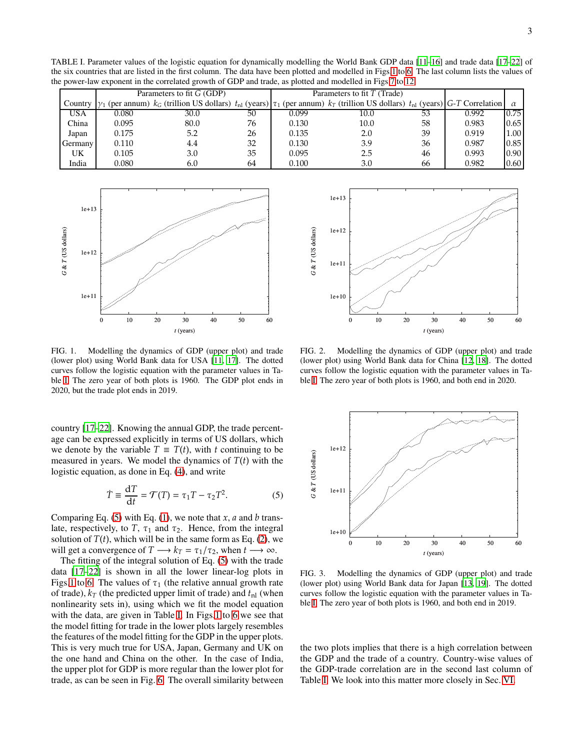TABLE I. Parameter values of the logistic equation for dynamically modelling the World Bank GDP data [\[11](#page-6-10)[–16](#page-6-11)] and trade data [\[17](#page-6-12)[–22](#page-6-13)] of the six countries that are listed in the first column. The data have been plotted and modelled in Figs[.1](#page-2-1) to [6.](#page-3-1) The last column lists the values of the power-law exponent in the correlated growth of GDP and trade, as plotted and modelled in Figs[.7](#page-4-1) to [12.](#page-5-1)

<span id="page-2-0"></span>

|            | Parameters to fit G (GDP) |                                                                                                                                                                        |    | Parameters to fit $T$ (Trade) |      |    |       |      |
|------------|---------------------------|------------------------------------------------------------------------------------------------------------------------------------------------------------------------|----|-------------------------------|------|----|-------|------|
|            |                           | Country $\gamma_1$ (per annum) $k_G$ (trillion US dollars) $t_{nl}$ (years) $\tau_1$ (per annum) $k_T$ (trillion US dollars) $t_{nl}$ (years) G-T Correlation $\alpha$ |    |                               |      |    |       |      |
| <b>USA</b> | 0.080                     | 30.0                                                                                                                                                                   | 50 | 0.099                         | 10.0 | 53 | 0.992 | 0.75 |
| China      | 0.095                     | 80.0                                                                                                                                                                   | 76 | 0.130                         | 10.0 | 58 | 0.983 | 0.65 |
| Japan      | 0.175                     | 5.2                                                                                                                                                                    | 26 | 0.135                         | 2.0  | 39 | 0.919 | 1.00 |
| Germany    | 0.110                     | 4.4                                                                                                                                                                    | 32 | 0.130                         | 3.9  | 36 | 0.987 | 0.85 |
| UK         | 0.105                     | 3.0                                                                                                                                                                    | 35 | 0.095                         | 2.5  | 46 | 0.993 | 0.90 |
| India      | 0.080                     | 6.0                                                                                                                                                                    | 64 | 0.100                         | 3.0  | 66 | 0.982 | 0.60 |



<span id="page-2-1"></span>FIG. 1. Modelling the dynamics of GDP (upper plot) and trade (lower plot) using World Bank data for USA [\[11,](#page-6-10) [17](#page-6-12)]. The dotted curves follow the logistic equation with the parameter values in Table [I.](#page-2-0) The zero year of both plots is 1960. The GDP plot ends in 2020, but the trade plot ends in 2019.

country [\[17](#page-6-12)[–22\]](#page-6-13). Knowing the annual GDP, the trade percentage can be expressed explicitly in terms of US dollars, which we denote by the variable  $T \equiv T(t)$ , with *t* continuing to be measured in years. We model the dynamics of  $T(t)$  with the logistic equation, as done in Eq. [\(4\)](#page-1-6), and write

<span id="page-2-4"></span>
$$
\dot{T} \equiv \frac{\mathrm{d}T}{\mathrm{d}t} = \mathcal{T}(T) = \tau_1 T - \tau_2 T^2. \tag{5}
$$

Comparing Eq. [\(5\)](#page-2-4) with Eq. [\(1\)](#page-1-3), we note that *x*, *a* and *b* translate, respectively, to  $T$ ,  $\tau_1$  and  $\tau_2$ . Hence, from the integral solution of  $T(t)$ , which will be in the same form as Eq. [\(2\)](#page-1-4), we will get a convergence of  $T \rightarrow k_T = \tau_1/\tau_2$ , when  $t \rightarrow \infty$ .

The fitting of the integral solution of Eq. [\(5\)](#page-2-4) with the trade data [\[17](#page-6-12)[–22\]](#page-6-13) is shown in all the lower linear-log plots in Figs[.1](#page-2-1) to [6.](#page-3-1) The values of  $\tau_1$  (the relative annual growth rate of trade),  $k_T$  (the predicted upper limit of trade) and  $t_{nl}$  (when nonlinearity sets in), using which we fit the model equation with the data, are given in Table [I.](#page-2-0) In Figs[.1](#page-2-1) to [6](#page-3-1) we see that the model fitting for trade in the lower plots largely resembles the features of the model fitting for the GDP in the upper plots. This is very much true for USA, Japan, Germany and UK on the one hand and China on the other. In the case of India, the upper plot for GDP is more regular than the lower plot for trade, as can be seen in Fig. [6.](#page-3-1) The overall similarity between



<span id="page-2-3"></span>FIG. 2. Modelling the dynamics of GDP (upper plot) and trade (lower plot) using World Bank data for China [\[12](#page-6-16), [18](#page-6-17)]. The dotted curves follow the logistic equation with the parameter values in Table [I.](#page-2-0) The zero year of both plots is 1960, and both end in 2020.



<span id="page-2-2"></span>FIG. 3. Modelling the dynamics of GDP (upper plot) and trade (lower plot) using World Bank data for Japan [\[13,](#page-6-18) [19\]](#page-6-19). The dotted curves follow the logistic equation with the parameter values in Table [I.](#page-2-0) The zero year of both plots is 1960, and both end in 2019.

the two plots implies that there is a high correlation between the GDP and the trade of a country. Country-wise values of the GDP-trade correlation are in the second last column of Table [I.](#page-2-0) We look into this matter more closely in Sec. [VI.](#page-4-0)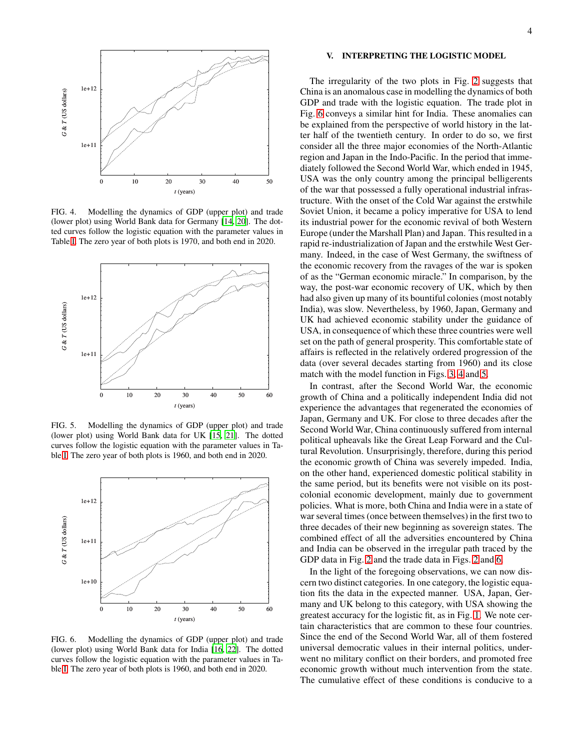

<span id="page-3-2"></span>FIG. 4. Modelling the dynamics of GDP (upper plot) and trade (lower plot) using World Bank data for Germany [\[14](#page-6-20), [20](#page-6-21)]. The dotted curves follow the logistic equation with the parameter values in Table [I.](#page-2-0) The zero year of both plots is 1970, and both end in 2020.



<span id="page-3-3"></span>FIG. 5. Modelling the dynamics of GDP (upper plot) and trade (lower plot) using World Bank data for UK [\[15,](#page-6-22) [21](#page-6-23)]. The dotted curves follow the logistic equation with the parameter values in Table [I.](#page-2-0) The zero year of both plots is 1960, and both end in 2020.



<span id="page-3-1"></span>FIG. 6. Modelling the dynamics of GDP (upper plot) and trade (lower plot) using World Bank data for India [\[16,](#page-6-11) [22](#page-6-13)]. The dotted curves follow the logistic equation with the parameter values in Table [I.](#page-2-0) The zero year of both plots is 1960, and both end in 2020.

## <span id="page-3-0"></span>V. INTERPRETING THE LOGISTIC MODEL

The irregularity of the two plots in Fig. [2](#page-2-3) suggests that China is an anomalous case in modelling the dynamics of both GDP and trade with the logistic equation. The trade plot in Fig. [6](#page-3-1) conveys a similar hint for India. These anomalies can be explained from the perspective of world history in the latter half of the twentieth century. In order to do so, we first consider all the three major economies of the North-Atlantic region and Japan in the Indo-Pacific. In the period that immediately followed the Second World War, which ended in 1945, USA was the only country among the principal belligerents of the war that possessed a fully operational industrial infrastructure. With the onset of the Cold War against the erstwhile Soviet Union, it became a policy imperative for USA to lend its industrial power for the economic revival of both Western Europe (under the Marshall Plan) and Japan. This resulted in a rapid re-industrialization of Japan and the erstwhile West Germany. Indeed, in the case of West Germany, the swiftness of the economic recovery from the ravages of the war is spoken of as the "German economic miracle." In comparison, by the way, the post-war economic recovery of UK, which by then had also given up many of its bountiful colonies (most notably India), was slow. Nevertheless, by 1960, Japan, Germany and UK had achieved economic stability under the guidance of USA, in consequence of which these three countries were well set on the path of general prosperity. This comfortable state of affairs is reflected in the relatively ordered progression of the data (over several decades starting from 1960) and its close match with the model function in Figs. [3,](#page-2-2) [4](#page-3-2) and [5.](#page-3-3)

In contrast, after the Second World War, the economic growth of China and a politically independent India did not experience the advantages that regenerated the economies of Japan, Germany and UK. For close to three decades after the Second World War, China continuously suffered from internal political upheavals like the Great Leap Forward and the Cultural Revolution. Unsurprisingly, therefore, during this period the economic growth of China was severely impeded. India, on the other hand, experienced domestic political stability in the same period, but its benefits were not visible on its postcolonial economic development, mainly due to government policies. What is more, both China and India were in a state of war several times (once between themselves) in the first two to three decades of their new beginning as sovereign states. The combined effect of all the adversities encountered by China and India can be observed in the irregular path traced by the GDP data in Fig. [2](#page-2-3) and the trade data in Figs. [2](#page-2-3) and [6.](#page-3-1)

In the light of the foregoing observations, we can now discern two distinct categories. In one category, the logistic equation fits the data in the expected manner. USA, Japan, Germany and UK belong to this category, with USA showing the greatest accuracy for the logistic fit, as in Fig. [1.](#page-2-1) We note certain characteristics that are common to these four countries. Since the end of the Second World War, all of them fostered universal democratic values in their internal politics, underwent no military conflict on their borders, and promoted free economic growth without much intervention from the state. The cumulative effect of these conditions is conducive to a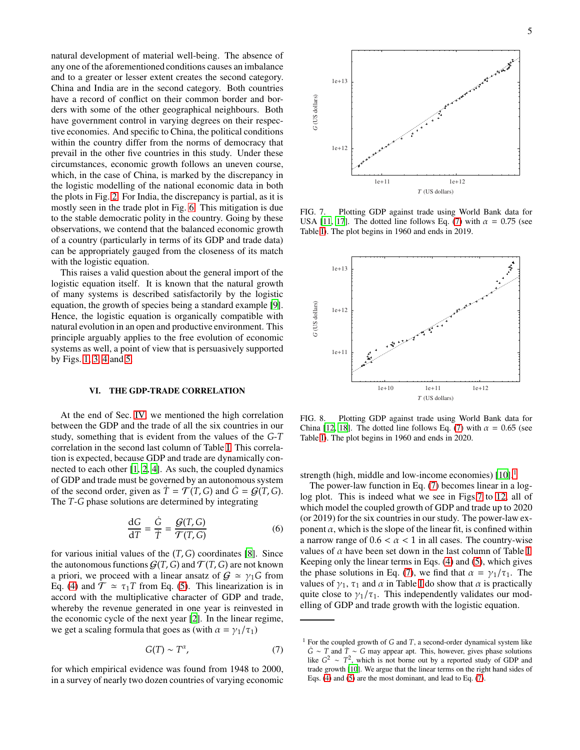natural development of material well-being. The absence of any one of the aforementioned conditions causes an imbalance and to a greater or lesser extent creates the second category. China and India are in the second category. Both countries have a record of conflict on their common border and borders with some of the other geographical neighbours. Both have government control in varying degrees on their respective economies. And specific to China, the political conditions within the country differ from the norms of democracy that prevail in the other five countries in this study. Under these circumstances, economic growth follows an uneven course, which, in the case of China, is marked by the discrepancy in the logistic modelling of the national economic data in both the plots in Fig. [2.](#page-2-3) For India, the discrepancy is partial, as it is mostly seen in the trade plot in Fig. [6.](#page-3-1) This mitigation is due to the stable democratic polity in the country. Going by these observations, we contend that the balanced economic growth of a country (particularly in terms of its GDP and trade data) can be appropriately gauged from the closeness of its match with the logistic equation.

This raises a valid question about the general import of the logistic equation itself. It is known that the natural growth of many systems is described satisfactorily by the logistic equation, the growth of species being a standard example [\[9](#page-6-8)]. Hence, the logistic equation is organically compatible with natural evolution in an open and productive environment. This principle arguably applies to the free evolution of economic systems as well, a point of view that is persuasively supported by Figs. [1,](#page-2-1) [3,](#page-2-2) [4](#page-3-2) and [5.](#page-3-3)

## <span id="page-4-0"></span>VI. THE GDP-TRADE CORRELATION

At the end of Sec. [IV,](#page-1-2) we mentioned the high correlation between the GDP and the trade of all the six countries in our study, something that is evident from the values of the *G*-*T* correlation in the second last column of Table [I.](#page-2-0) This correlation is expected, because GDP and trade are dynamically connected to each other [\[1](#page-6-0), [2](#page-6-1), [4\]](#page-6-3). As such, the coupled dynamics of GDP and trade must be governed by an autonomous system of the second order, given as  $\dot{T} = \mathcal{T}(T, G)$  and  $\dot{G} = \mathcal{G}(T, G)$ . The *T*-*G* phase solutions are determined by integrating

$$
\frac{\mathrm{d}G}{\mathrm{d}T} = \frac{\dot{G}}{\dot{T}} = \frac{\mathcal{G}(T, G)}{\mathcal{T}(T, G)}
$$
(6)

for various initial values of the (*T*, *G*) coordinates [\[8](#page-6-7)]. Since the autonomous functions  $G(T, G)$  and  $\mathcal{T}(T, G)$  are not known a priori, we proceed with a linear ansatz of  $G \simeq \gamma_1 G$  from Eq. [\(4\)](#page-1-6) and  $\mathcal{T} \approx \tau_1 T$  from Eq. [\(5\)](#page-2-4). This linearization is in accord with the multiplicative character of GDP and trade, whereby the revenue generated in one year is reinvested in the economic cycle of the next year [\[2\]](#page-6-1). In the linear regime, we get a scaling formula that goes as (with  $\alpha = \gamma_1/\tau_1$ )

<span id="page-4-2"></span>
$$
G(T) \sim T^{\alpha},\tag{7}
$$

for which empirical evidence was found from 1948 to 2000, in a survey of nearly two dozen countries of varying economic



<span id="page-4-1"></span>FIG. 7. Plotting GDP against trade using World Bank data for USA [\[11,](#page-6-10) [17](#page-6-12)]. The dotted line follows Eq. [\(7\)](#page-4-2) with  $\alpha = 0.75$  (see Table [I\)](#page-2-0). The plot begins in 1960 and ends in 2019.



<span id="page-4-4"></span>FIG. 8. Plotting GDP against trade using World Bank data for China [\[12](#page-6-16), [18](#page-6-17)]. The dotted line follows Eq. [\(7\)](#page-4-2) with  $\alpha = 0.65$  (see Table [I\)](#page-2-0). The plot begins in 1960 and ends in 2020.

strength (high, middle and low-income economies)  $[10]$  $[10]$  $[10]$ .<sup>1</sup>

The power-law function in Eq. [\(7\)](#page-4-2) becomes linear in a loglog plot. This is indeed what we see in Figs[.7](#page-4-1) to [12,](#page-5-1) all of which model the coupled growth of GDP and trade up to 2020 (or 2019) for the six countries in our study. The power-law exponent  $\alpha$ , which is the slope of the linear fit, is confined within a narrow range of  $0.6 < \alpha < 1$  in all cases. The country-wise values of  $\alpha$  have been set down in the last column of Table [I.](#page-2-0) Keeping only the linear terms in Eqs. [\(4\)](#page-1-6) and [\(5\)](#page-2-4), which gives the phase solutions in Eq. [\(7\)](#page-4-2), we find that  $\alpha = \gamma_1/\tau_1$ . The values of  $\gamma_1$ ,  $\tau_1$  and  $\alpha$  in Table [I](#page-2-0) do show that  $\alpha$  is practically quite close to  $\gamma_1/\tau_1$ . This independently validates our modelling of GDP and trade growth with the logistic equation.

<span id="page-4-3"></span><sup>1</sup> For the coupled growth of *G* and *T*, a second-order dynamical system like *G*˙ ∼ *T* and *T*˙ ∼ *G* may appear apt. This, however, gives phase solutions like  $G^2 \sim T^2$ , which is not borne out by a reported study of GDP and trade growth [\[10\]](#page-6-9). We argue that the linear terms on the right hand sides of Eqs. [\(4\)](#page-1-6) and [\(5\)](#page-2-4) are the most dominant, and lead to Eq. [\(7\)](#page-4-2).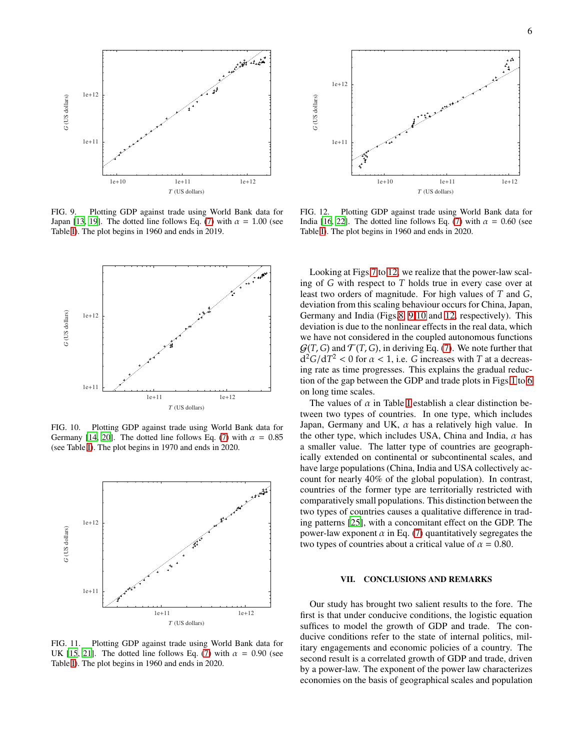

<span id="page-5-2"></span>FIG. 9. Plotting GDP against trade using World Bank data for Japan [\[13](#page-6-18), [19](#page-6-19)]. The dotted line follows Eq. [\(7\)](#page-4-2) with  $\alpha = 1.00$  (see Table [I\)](#page-2-0). The plot begins in 1960 and ends in 2019.



<span id="page-5-3"></span>FIG. 10. Plotting GDP against trade using World Bank data for Germany [\[14](#page-6-20), [20\]](#page-6-21). The dotted line follows Eq. [\(7\)](#page-4-2) with  $\alpha = 0.85$ (see Table [I\)](#page-2-0). The plot begins in 1970 and ends in 2020.



FIG. 11. Plotting GDP against trade using World Bank data for UK [\[15](#page-6-22), [21\]](#page-6-23). The dotted line follows Eq. [\(7\)](#page-4-2) with  $\alpha = 0.90$  (see Table [I\)](#page-2-0). The plot begins in 1960 and ends in 2020.



<span id="page-5-1"></span>FIG. 12. Plotting GDP against trade using World Bank data for India [\[16](#page-6-11), [22](#page-6-13)]. The dotted line follows Eq. [\(7\)](#page-4-2) with  $\alpha = 0.60$  (see Table [I\)](#page-2-0). The plot begins in 1960 and ends in 2020.

Looking at Figs[.7](#page-4-1) to [12,](#page-5-1) we realize that the power-law scaling of *G* with respect to *T* holds true in every case over at least two orders of magnitude. For high values of *T* and *G*, deviation from this scaling behaviour occurs for China, Japan, Germany and India (Figs[.8,](#page-4-4) [9](#page-5-2) [10](#page-5-3) and [12,](#page-5-1) respectively). This deviation is due to the nonlinear effects in the real data, which we have not considered in the coupled autonomous functions  $G(T, G)$  and  $T(T, G)$ , in deriving Eq. [\(7\)](#page-4-2). We note further that  $d^2G/dT^2 < 0$  for  $\alpha < 1$ , i.e. *G* increases with *T* at a decreasing rate as time progresses. This explains the gradual reduction of the gap between the GDP and trade plots in Figs[.1](#page-2-1) to [6](#page-3-1) on long time scales.

The values of  $\alpha$  in Table [I](#page-2-0) establish a clear distinction between two types of countries. In one type, which includes Japan, Germany and UK,  $\alpha$  has a relatively high value. In the other type, which includes USA, China and India,  $\alpha$  has a smaller value. The latter type of countries are geographically extended on continental or subcontinental scales, and have large populations (China, India and USA collectively account for nearly 40% of the global population). In contrast, countries of the former type are territorially restricted with comparatively small populations. This distinction between the two types of countries causes a qualitative difference in trading patterns [\[25\]](#page-6-24), with a concomitant effect on the GDP. The power-law exponent  $\alpha$  in Eq. [\(7\)](#page-4-2) quantitatively segregates the two types of countries about a critical value of  $\alpha = 0.80$ .

#### <span id="page-5-0"></span>VII. CONCLUSIONS AND REMARKS

Our study has brought two salient results to the fore. The first is that under conducive conditions, the logistic equation suffices to model the growth of GDP and trade. The conducive conditions refer to the state of internal politics, military engagements and economic policies of a country. The second result is a correlated growth of GDP and trade, driven by a power-law. The exponent of the power law characterizes economies on the basis of geographical scales and population